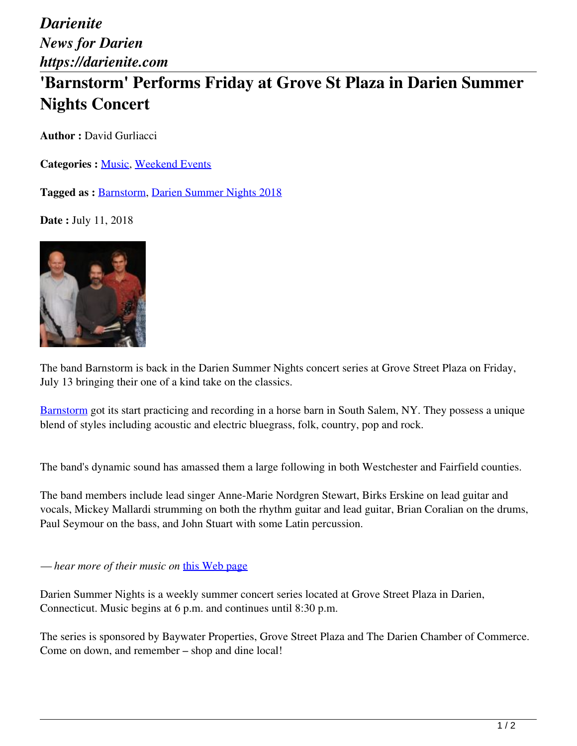*Darienite News for Darien https://darienite.com*

## **'Barnstorm' Performs Friday at Grove St Plaza in Darien Summer Nights Concert**

**Author : David Gurliacci** 

**Categories :** [Music](https://darienite.com/category/arts-entertainment/music), Weekend Events

**Tagged as :** Barnstorm, Darien Summer Nights 2018

**Date :** July 11, 2018



The band Barnstorm is back in the Darien Summer Nights concert series at Grove Street Plaza on Friday, July 13 bringing their one of a kind take on the classics.

Barnstorm got its start practicing and recording in a horse barn in South Salem, NY. They possess a unique blend of styles including acoustic and electric bluegrass, folk, country, pop and rock.

The band's dynamic sound has amassed them a large following in both Westchester and Fairfield counties.

The band members include lead singer Anne-Marie Nordgren Stewart, Birks Erskine on lead guitar and vocals, Mickey Mallardi strumming on both the rhythm guitar and lead guitar, Brian Coralian on the drums, Paul Seymour on the bass, and John Stuart with some Latin percussion.

*— hear more of their music on* this Web page

Darien Summer Nights is a weekly summer concert series located at Grove Street Plaza in Darien, Connecticut. Music begins at 6 p.m. and continues until 8:30 p.m.

The series is sponsored by Baywater Properties, Grove Street Plaza and The Darien Chamber of Commerce. Come on down, and remember – shop and dine local!